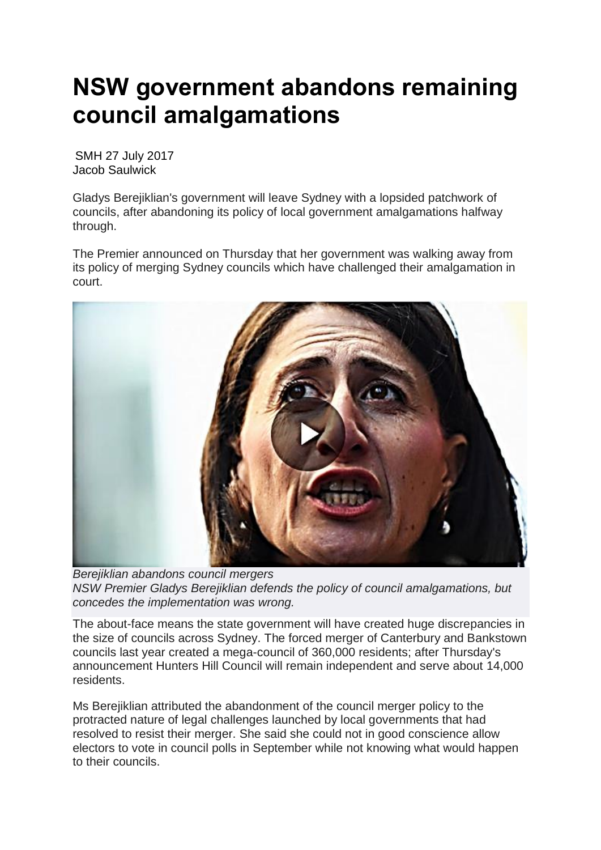## **NSW government abandons remaining council amalgamations**

SMH 27 July 2017 Jacob Saulwick

Gladys Berejiklian's government will leave Sydney with a lopsided patchwork of councils, after abandoning its policy of local government amalgamations halfway through.

The Premier announced on Thursday that her government was walking away from its policy of merging Sydney councils which have challenged their amalgamation in court.



*Berejiklian abandons council mergers NSW Premier Gladys Berejiklian defends the policy of council amalgamations, but concedes the implementation was wrong.*

The about-face means the state government will have created huge discrepancies in the size of councils across Sydney. The forced merger of Canterbury and Bankstown councils last year created a mega-council of 360,000 residents; after Thursday's announcement Hunters Hill Council will remain independent and serve about 14,000 residents.

Ms Berejiklian attributed the abandonment of the council merger policy to the protracted nature of legal challenges launched by local governments that had resolved to resist their merger. She said she could not in good conscience allow electors to vote in council polls in September while not knowing what would happen to their councils.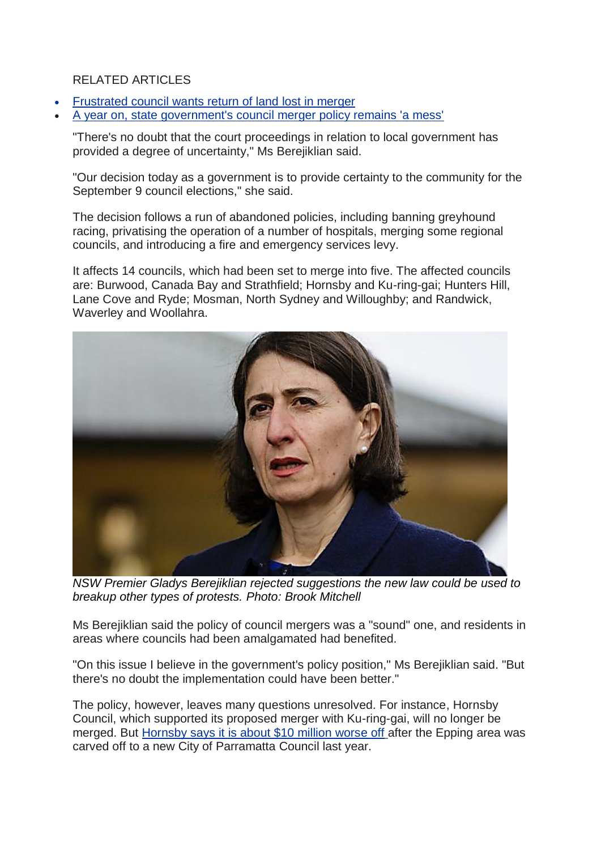## RELATED ARTICLES

- [Frustrated](http://www.smh.com.au/nsw/frustrated-hornsby-council-demands-the-return-of-land-lost-to-amalgamation-20170712-gx9vqt.html) council wants return of land lost in merger
- A year on, state [government's](http://www.smh.com.au/nsw/a-year-on-state-governments-council-merger-policy-remains-a-mess-20170602-gwiywr.html) council merger policy remains 'a mess'

"There's no doubt that the court proceedings in relation to local government has provided a degree of uncertainty," Ms Berejiklian said.

"Our decision today as a government is to provide certainty to the community for the September 9 council elections," she said.

The decision follows a run of abandoned policies, including banning greyhound racing, privatising the operation of a number of hospitals, merging some regional councils, and introducing a fire and emergency services levy.

It affects 14 councils, which had been set to merge into five. The affected councils are: Burwood, Canada Bay and Strathfield; Hornsby and Ku-ring-gai; Hunters Hill, Lane Cove and Ryde; Mosman, North Sydney and Willoughby; and Randwick, Waverley and Woollahra.



*NSW Premier Gladys Berejiklian rejected suggestions the new law could be used to breakup other types of protests. Photo: Brook Mitchell*

Ms Berejiklian said the policy of council mergers was a "sound" one, and residents in areas where councils had been amalgamated had benefited.

"On this issue I believe in the government's policy position," Ms Berejiklian said. "But there's no doubt the implementation could have been better."

The policy, however, leaves many questions unresolved. For instance, Hornsby Council, which supported its proposed merger with Ku-ring-gai, will no longer be merged. But [Hornsby](http://www.smh.com.au/nsw/frustrated-hornsby-council-demands-the-return-of-land-lost-to-amalgamation-20170712-gx9vqt.html) says it is about \$10 million worse off after the Epping area was carved off to a new City of Parramatta Council last year.